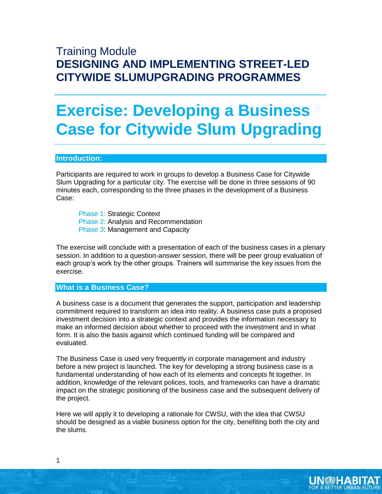# Training Module **DESIGNING AND IMPLEMENTING STREET-LED CITYWIDE SLUMUPGRADING PROGRAMMES**

# **Exercise: Developing a Business Case for Citywide Slum Upgrading**

#### **Introduction:**

Participants are required to work in groups to develop a Business Case for Citywide Slum Upgrading for a particular city. The exercise will be done in three sessions of 90 minutes each, corresponding to the three phases in the development of a Business Case:

Phase 1: Strategic Context Phase 2: Analysis and Recommendation Phase 3: Management and Capacity

The exercise will conclude with a presentation of each of the business cases in a plenary session. In addition to a question-answer session, there will be peer group evaluation of each group's work by the other groups. Trainers will summarise the key issues from the exercise.

**What is a Business Case?** 

A business case is a document that generates the support, participation and leadership commitment required to transform an idea into reality. A business case puts a proposed investment decision into a strategic context and provides the information necessary to make an informed decision about whether to proceed with the investment and in what form. It is also the basis against which continued funding will be compared and evaluated.

The Business Case is used very frequently in corporate management and industry before a new project is launched. The key for developing a strong business case is a fundamental understanding of how each of its elements and concepts fit together. In addition, knowledge of the relevant polices, tools, and frameworks can have a dramatic impact on the strategic positioning of the business case and the subsequent delivery of the project.

Here we will apply it to developing a rationale for CWSU, with the idea that CWSU should be designed as a viable business option for the city, benefiting both the city and the slums.

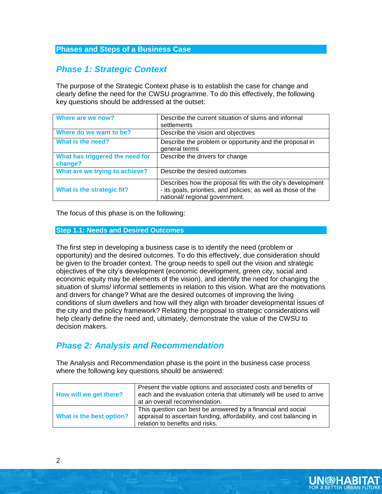#### **Phases and Steps of a Business Case**

# *Phase 1: Strategic Context*

The purpose of the Strategic Context phase is to establish the case for change and clearly define the need for the CWSU programme. To do this effectively, the following key questions should be addressed at the outset:

| Where are we now?                          | Describe the current situation of slums and informal<br>settlements                                                                                             |
|--------------------------------------------|-----------------------------------------------------------------------------------------------------------------------------------------------------------------|
| Where do we want to be?                    | Describe the vision and objectives                                                                                                                              |
| What is the need?                          | Describe the problem or opportunity and the proposal in<br>general terms                                                                                        |
| What has triggered the need for<br>change? | Describe the drivers for change                                                                                                                                 |
| What are we trying to achieve?             | Describe the desired outcomes                                                                                                                                   |
| What is the strategic fit?                 | Describes how the proposal fits with the city's development<br>- its goals, priorities, and policies; as well as those of the<br>national/ regional government. |

The focus of this phase is on the following:

#### **Step 1.1: Needs and Desired Outcomes**

The first step in developing a business case is to identify the need (problem or opportunity) and the desired outcomes. To do this effectively, due consideration should be given to the broader context. The group needs to spell out the vision and strategic objectives of the city's development (economic development, green city, social and economic equity may be elements of the vision), and identify the need for changing the situation of slums/ informal settlements in relation to this vision. What are the motivations and drivers for change? What are the desired outcomes of improving the living conditions of slum dwellers and how will they align with broader developmental issues of the city and the policy framework? Relating the proposal to strategic considerations will help clearly define the need and, ultimately, demonstrate the value of the CWSU to decision makers.

## *Phase 2: Analysis and Recommendation*

The Analysis and Recommendation phase is the point in the business case process where the following key questions should be answered:

| How will we get there?   | Present the viable options and associated costs and benefits of<br>each and the evaluation criteria that ultimately will be used to arrive<br>at an overall recommendation. |
|--------------------------|-----------------------------------------------------------------------------------------------------------------------------------------------------------------------------|
| What is the best option? | This question can best be answered by a financial and social<br>appraisal to ascertain funding, affordability, and cost balancing in<br>relation to benefits and risks.     |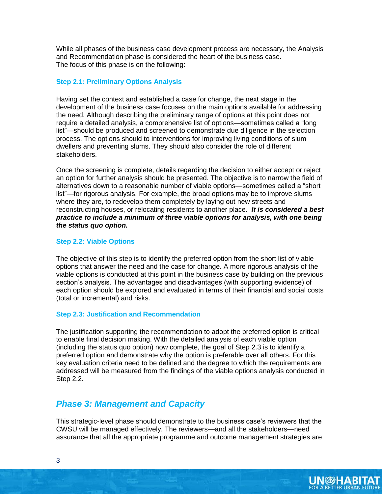While all phases of the business case development process are necessary, the Analysis and Recommendation phase is considered the heart of the business case. The focus of this phase is on the following:

#### **Step 2.1: Preliminary Options Analysis**

Having set the context and established a case for change, the next stage in the development of the business case focuses on the main options available for addressing the need. Although describing the preliminary range of options at this point does not require a detailed analysis, a comprehensive list of options—sometimes called a "long list"—should be produced and screened to demonstrate due diligence in the selection process. The options should to interventions for improving living conditions of slum dwellers and preventing slums. They should also consider the role of different stakeholders.

Once the screening is complete, details regarding the decision to either accept or reject an option for further analysis should be presented. The objective is to narrow the field of alternatives down to a reasonable number of viable options—sometimes called a "short list"—for rigorous analysis. For example, the broad options may be to improve slums where they are, to redevelop them completely by laying out new streets and reconstructing houses, or relocating residents to another place. *It is considered a best practice to include a minimum of three viable options for analysis, with one being the status quo option.*

#### **Step 2.2: Viable Options**

The objective of this step is to identify the preferred option from the short list of viable options that answer the need and the case for change. A more rigorous analysis of the viable options is conducted at this point in the business case by building on the previous section's analysis. The advantages and disadvantages (with supporting evidence) of each option should be explored and evaluated in terms of their financial and social costs (total or incremental) and risks.

#### **Step 2.3: Justification and Recommendation**

The justification supporting the recommendation to adopt the preferred option is critical to enable final decision making. With the detailed analysis of each viable option (including the status quo option) now complete, the goal of Step 2.3 is to identify a preferred option and demonstrate why the option is preferable over all others. For this key evaluation criteria need to be defined and the degree to which the requirements are addressed will be measured from the findings of the viable options analysis conducted in Step 2.2.

### *Phase 3: Management and Capacity*

This strategic-level phase should demonstrate to the business case's reviewers that the CWSU will be managed effectively. The reviewers—and all the stakeholders—need assurance that all the appropriate programme and outcome management strategies are